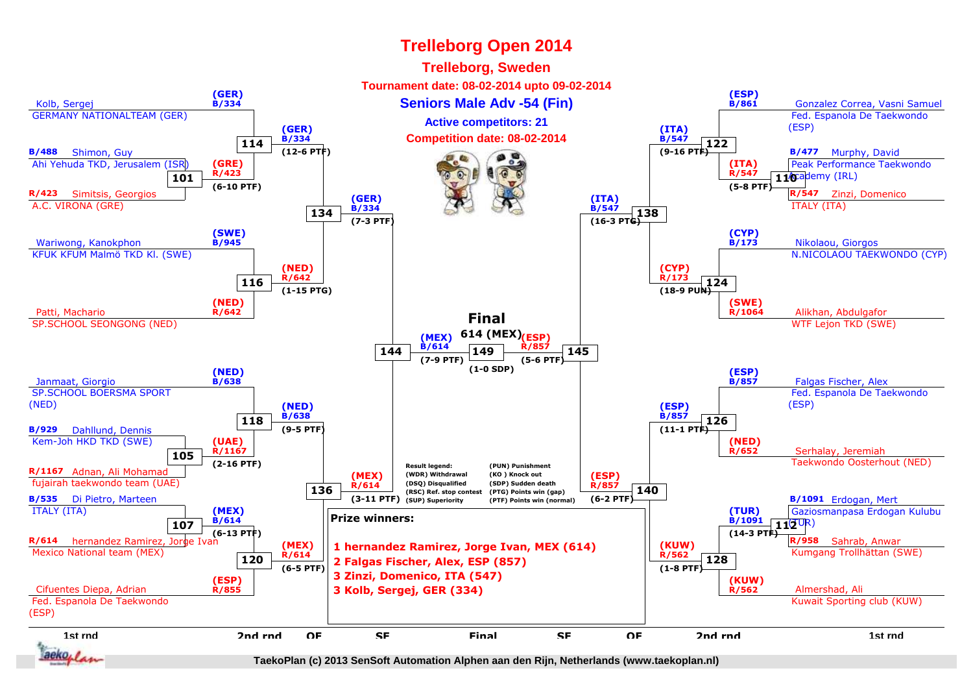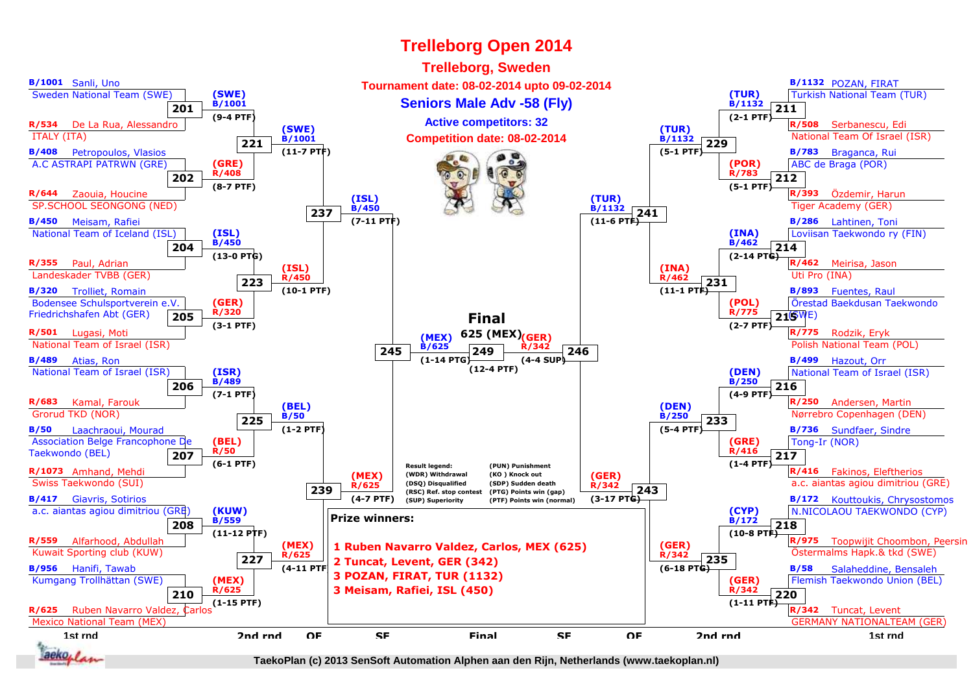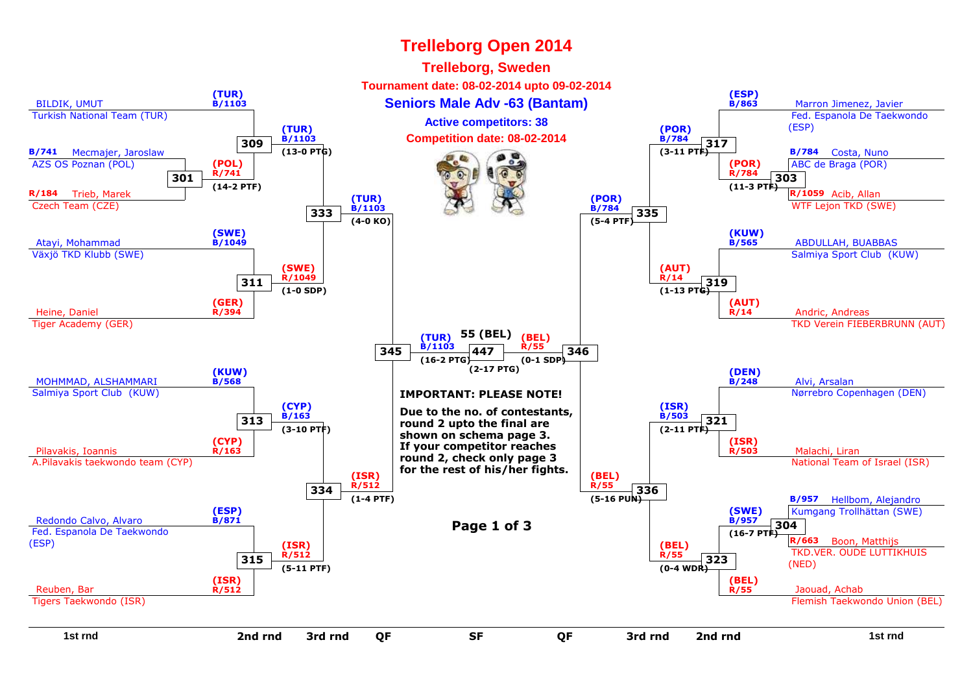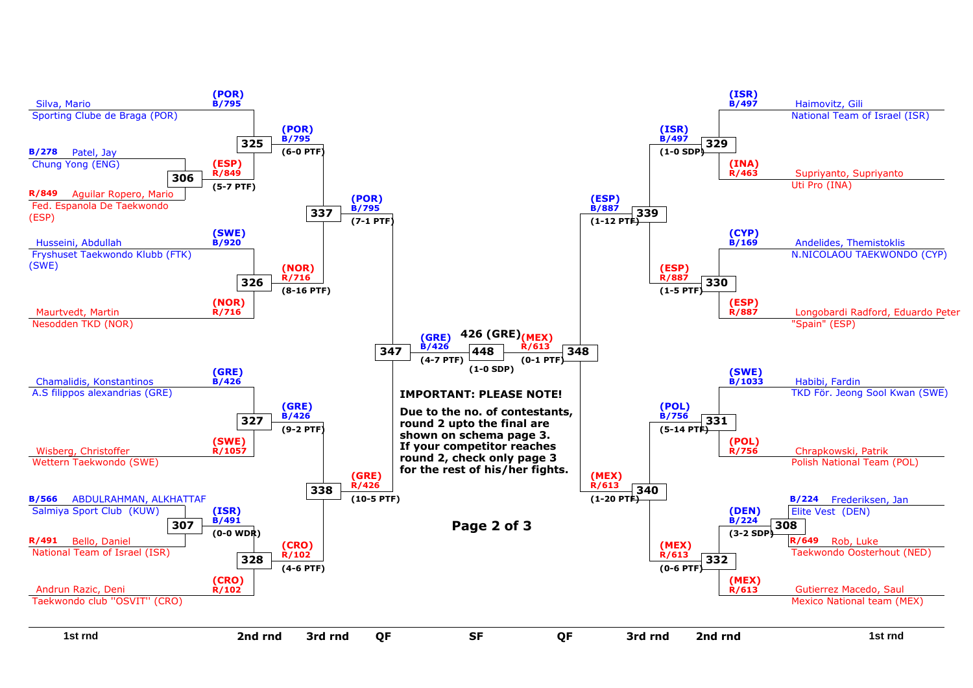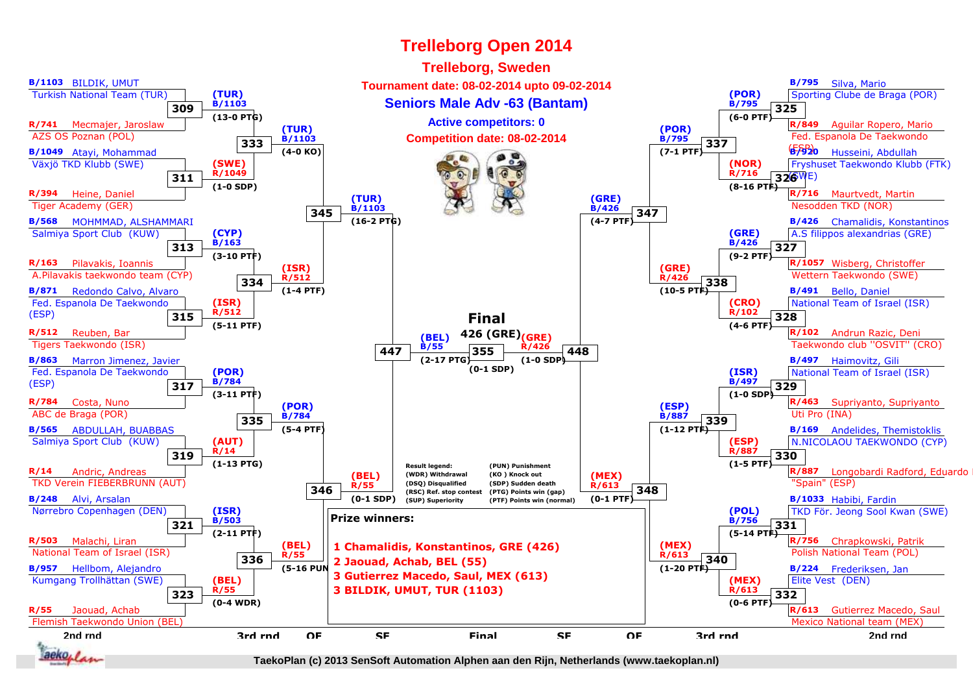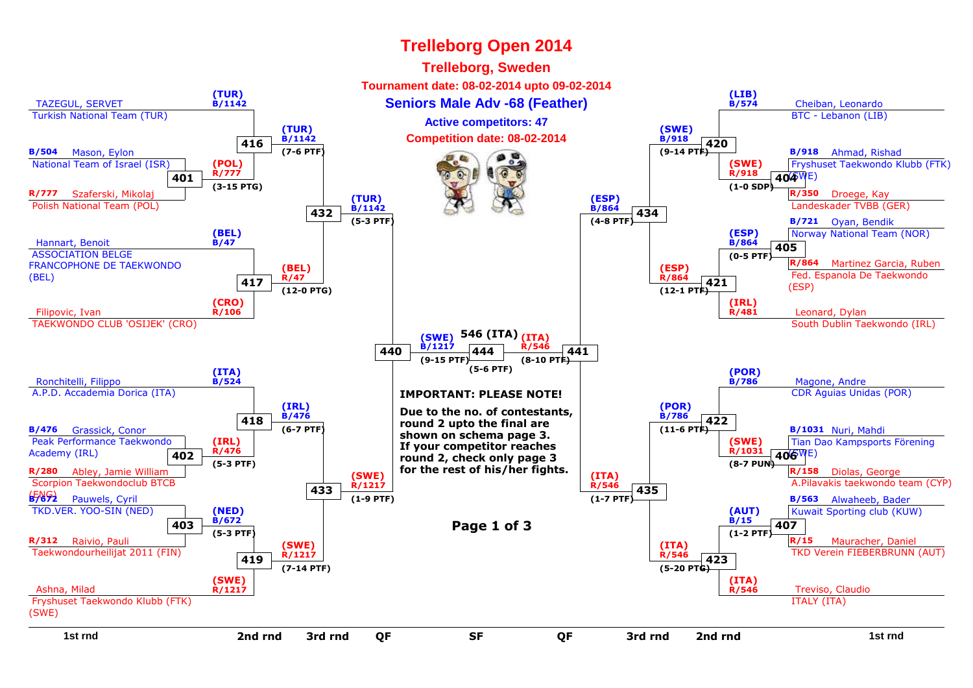#### TAZEGUL, SERVET Turkish National Team (TUR)**(TUR) B/1142**2 **Cheiban, Leonardo Seniors Male Adv -68 (Feather) Cheiban, Leonardo Cheiban, Leonardo**  BTC - Lebanon (LIB)**(LIB) B/574B/504** Mason, Eylon National Team of Israel (ISR)**R/777** Szaferski, Mikolaj Polish National Team (POL)**401(POL) R/777 (3-15 PTG)B/918** Ahmad, Rishad Fryshuset Taekwondo Klubb (FTK)(SWE)**404R/350** Droege, Kay Landeskader TVBB (GER)**(SWE) R/918 (1-0 SDP)**Hannart, Benoit ASSOCIATION BELGE FRANCOPHONE DE TAEKWONDO(BEL)**(BEL) B/47B/721** Oyan, Bendik Norway National Team (NOR)**R/864** Martinez Garcia, Ruben Fed. Espanola De Taekwondo(ESP)**405(ESP) B/864 (0-5 PTF)**Filipovic, Ivan TAEKWONDO CLUB 'OSIJEK' (CRO)**(CRO) R/106**end the contract of the contract of the contract of the contract of the contract of the contract of the contract of the contract of the contract of the contract of the contract of the contract of the contract of the contra South Dublin Taekwondo (IRL)**(IRL) R/481**Ronchitelli, Filippo A.P.D. Accademia Dorica (ITA)**(ITA) B/524**e de la participa de la participa de la participa de la participa de la participa de la participa de la participa de la participa de la participa de la participa de la participa de la participa de la participa de la partic CDR Aguias Unidas (POR)**(POR) B/786B/476** Grassick, Conor Peak Performance TaekwondoAcademy (IRL)**R/280** Abley, Jamie William Scorpion Taekwondoclub BTCB(ENG)**B/672402(IRL) R/476 (5-3 PTF)B/1031** Nuri, Mahdi Tian Dao Kampsports Förening(SWE)**406R/158** Diolas, George A.Pilavakis taekwondo team (CYP)**(SWE) R/1031 (8-7 PUN)** Pauwels, Cyril TKD.VER. YOO-SIN (NED)**R/312** Raivio, Pauli Taekwondourheilijat 2011 (FIN)**403(NED) B/672 (5-3 PTF)B/563** Alwaheeb, Bader Kuwait Sporting club (KUW)**R/15** Mauracher, Daniel TKD Verein FIEBERBRUNN (AUT)**407(AUT) B/15 (1-2 PTF)**Ashna, Milad Fryshuset Taekwondo Klubb (FTK)(SWE)**(SWE) R/1217** Treviso, Claudio ITALY (ITA)**(ITA) R/546416(TUR) B/1142 (7-6 PTF)420(SWE) B/918 (9-14 PTF)417(BEL)R/47 (12-0 PTG)421(ESP) R/864 (12-1 PTF)418(IRL) B/476 (6-7 PTF)422(POR) B/786 (11-6 PTF)419(SWE) R/1217 (7-14 PTF)423(ITA) R/546 (5-20 PTG)432(TUR) B/1142 (5-3 PTF)434(ESP) B/864 (4-8 PTF)433(SWE) R/1217 (1-9 PTF)435(ITA) R/546 (1-7 PTF)440(SWE)(ITA)546 (ITA) B/1217 (9-15 PTF)441 R/546 (8-10 PTF)444(5-6 PTF)IMPORTANT: PLEASE NOTE!Due to the no. of contestants,round 2 upto the final are shown on schema page 3. If your competitor reaches round 2, check only page 3 for the rest of his/her fights.Page 1 of 3Trelleborg Open 2014Trelleborg, Sweden Tournament date: 08-02-2014 upto 09-02-2014Competition date: 08-02-2014Active competitors: 47**

d a set of the set of the set of the set of the set of the set of the set of the set of the set of the set of the set of the set of the set of the set of the set of the set of the set of the set of the set of the set of th **2nd rnd 2nd rnd 3rd rnd**

**1st rnd**

d QF SF QF 3rd rnd F SF QF **SF**

**QF**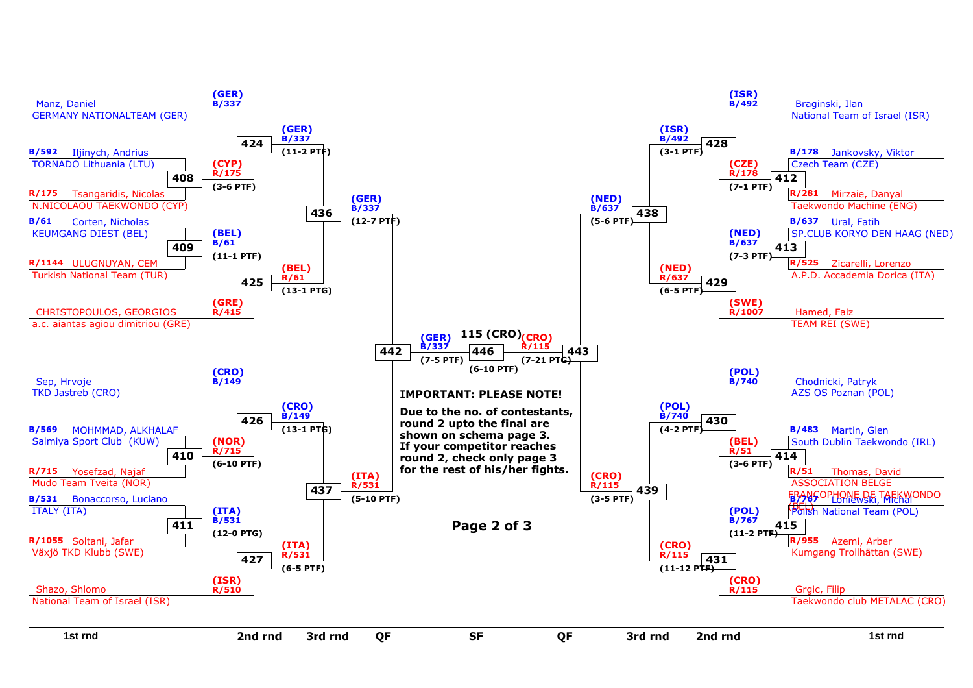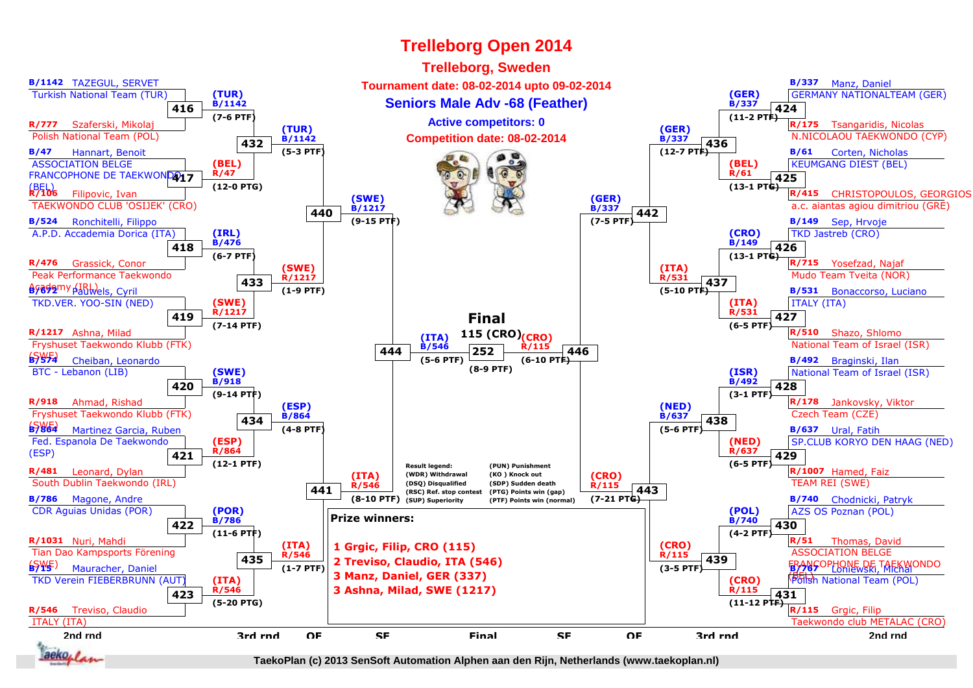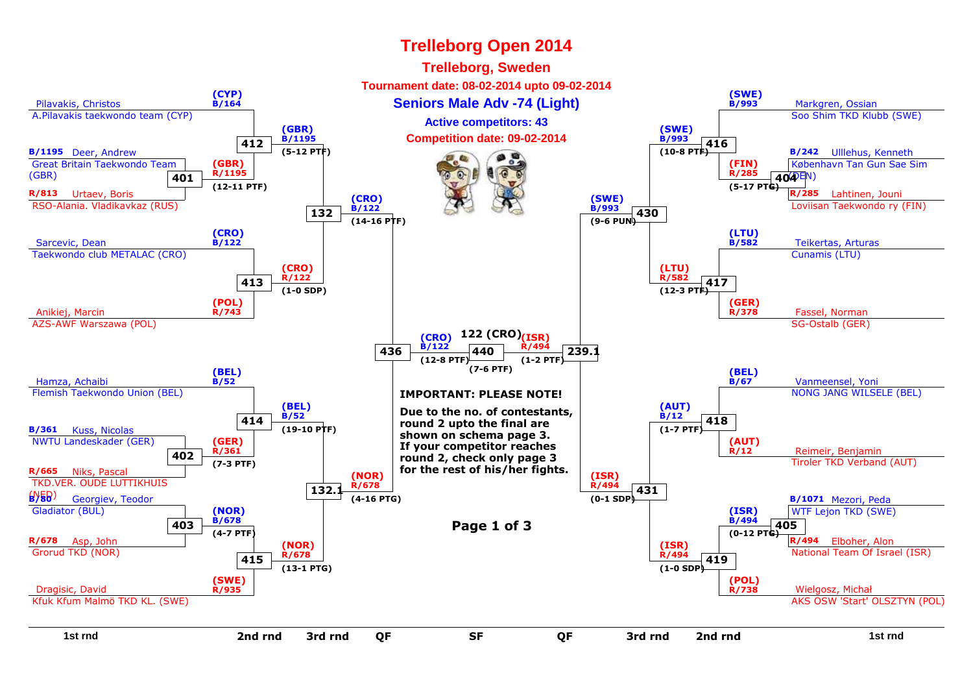#### Pilavakis, Christos A.Pilavakis taekwondo team (CYP)**(CYP) B/164**<u>4 And Seniors Male Adv -74 (Light) and Seniors Markgren, Ossian</u> Soo Shim TKD Klubb (SWE)**(SWE) B/993B/1195** Deer, Andrew Great Britain Taekwondo Team(GBR)**R/813** Urtaev, Boris RSO-Alania. Vladikavkaz (RUS)**401(GBR) R/1195 (12-11 PTF)B/242** Ulllehus, Kenneth København Tan Gun Sae Sim(DEN)**404R/285** Lahtinen, Jouni Loviisan Taekwondo ry (FIN)**(FIN) R/285 (5-17 PTG)**Sarcevic, Dean Taekwondo club METALAC (CRO)**(CRO) B/122**<u>2 B/582 Teikertas, Arturas</u> Cunamis (LTU)**(LTU) B/582**Anikiej, Marcin AZS-AWF Warszawa (POL)**(POL) R/743**and the contract of the contract of the contract of the contract of the contract of the contract of the contract of the contract of the contract of the contract of the contract of the contract of the contract of the contra SG-Ostalb (GER)**(GER) R/378**Hamza, Achaibi Flemish Taekwondo Union (BEL)**(BEL) B/52**<u>2</u> B/67 Vanmeensel, Yoni NONG JANG WILSELE (BEL)**(BEL)B/67B/361** Kuss, Nicolas NWTU Landeskader (GER)**R/665** Niks, Pascal TKD.VER. OUDE LUTTIKHUIS(NED)**B/80402(GER) R/361 (7-3 PTF)**Reimeir, Benjamin Tiroler TKD Verband (AUT)**(AUT)R/12** Georgiev, Teodor Gladiator (BUL)**R/678** Asp, John Grorud TKD (NOR)**403(NOR) B/678 (4-7 PTF)B/1071** Mezori, Peda WTF Lejon TKD (SWE)**R/494** Elboher, Alon National Team Of Israel (ISR)**405(ISR) B/494 (0-12 PTG)**Dragisic, David Kfuk Kfum Malmö TKD KL. (SWE)**(SWE) R/935**s and the contract of the contract of the contract of the contract of the contract of the contract of the contract of the contract of the contract of the contract of the contract of the contract of the contract of the cont AKS OSW 'Start' OLSZTYN (POL)**(POL) R/738412(GBR) B/1195 (5-12 PTF)416(SWE) B/993 (10-8 PTF)413(CRO) R/122 (1-0 SDP)417(LTU) R/582 (12-3 PTF)414(BEL)B/52 (19-10 PTF)418(AUT)B/12 (1-7 PTF)415(NOR) R/678 (13-1 PTG)419(ISR) R/494 (1-0 SDP)132(CRO) B/122 (14-16 PTF)430(SWE) B/993 (9-6 PUN)132. (NOR) R/678 (4-16 PTG)431(ISR) R/494 (0-1 SDP)436(CRO) B/122 (12-8 PTF)239.1(ISR)122 (CRO) R/494 (1-2 PTF)440(7-6 PTF)IMPORTANT: PLEASE NOTE!Due to the no. of contestants,round 2 upto the final are shown on schema page 3. If your competitor reaches round 2, check only page 3 for the rest of his/her fights.Page 1 of 3Trelleborg Open 2014Trelleborg, Sweden Tournament date: 08-02-2014 upto 09-02-2014Competition date: 09-02-2014Active competitors: 43**

d a set of the set of the set of the set of the set of the set of the set of the set of the set of the set of the set of the set of the set of the set of the set of the set of the set of the set of the set of the set of th

F SF QF

**SF**

**2nd rnd**

d QF SF QF 3rd rnd

**1st rnd**

**2nd rnd**

**3rd rnd**

**QF**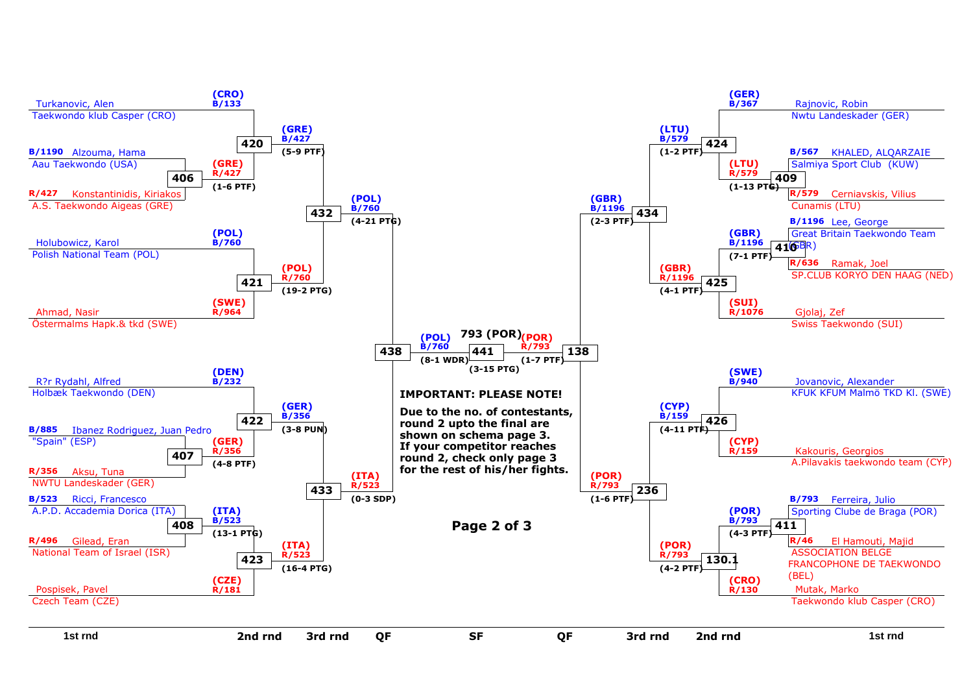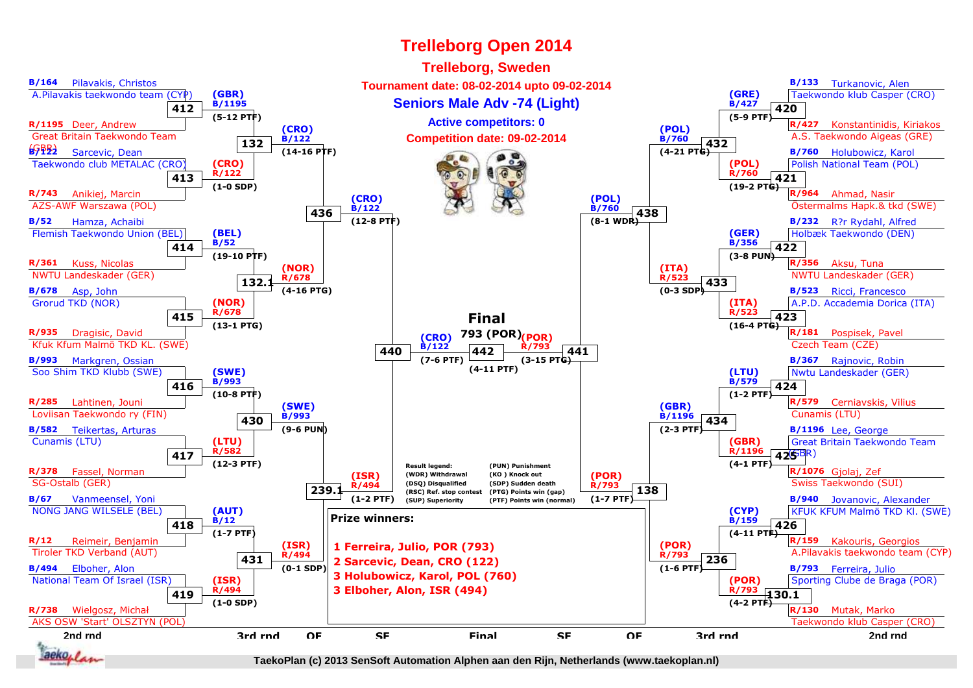![](_page_10_Figure_1.jpeg)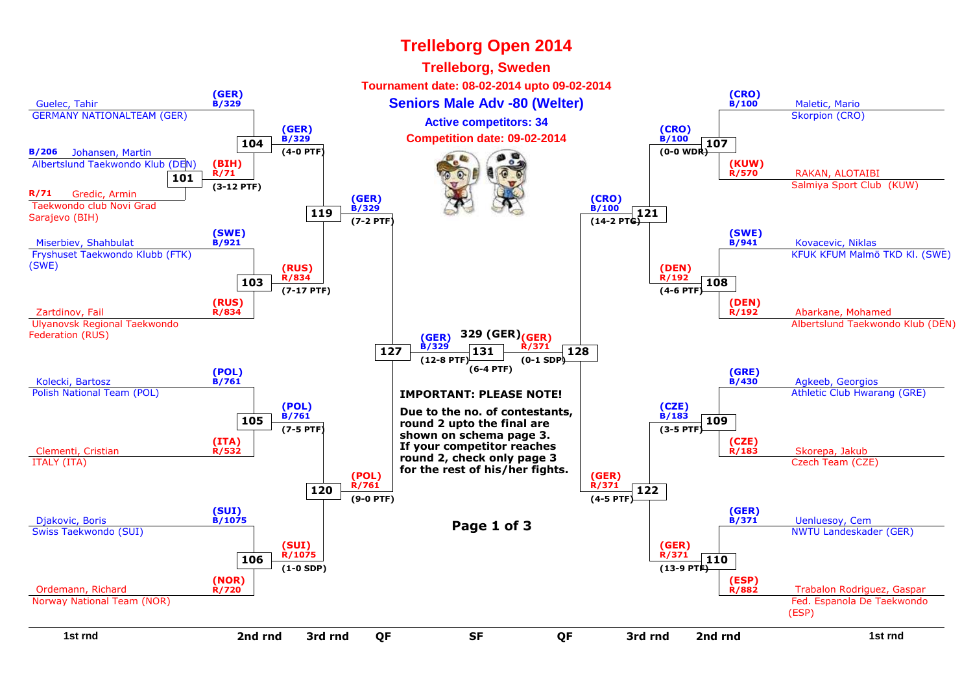![](_page_11_Figure_1.jpeg)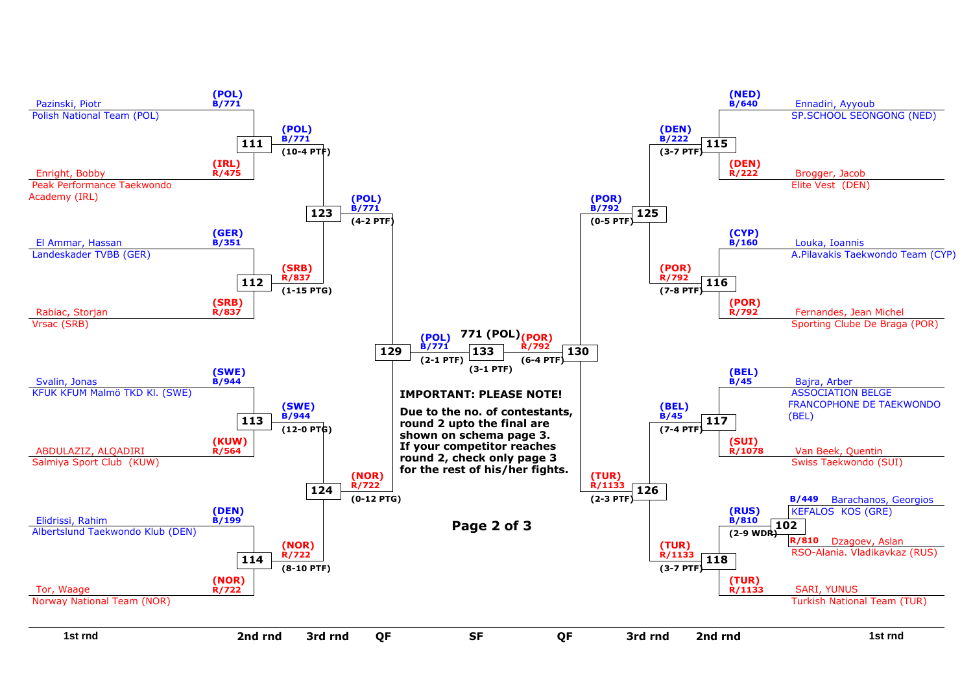![](_page_12_Figure_0.jpeg)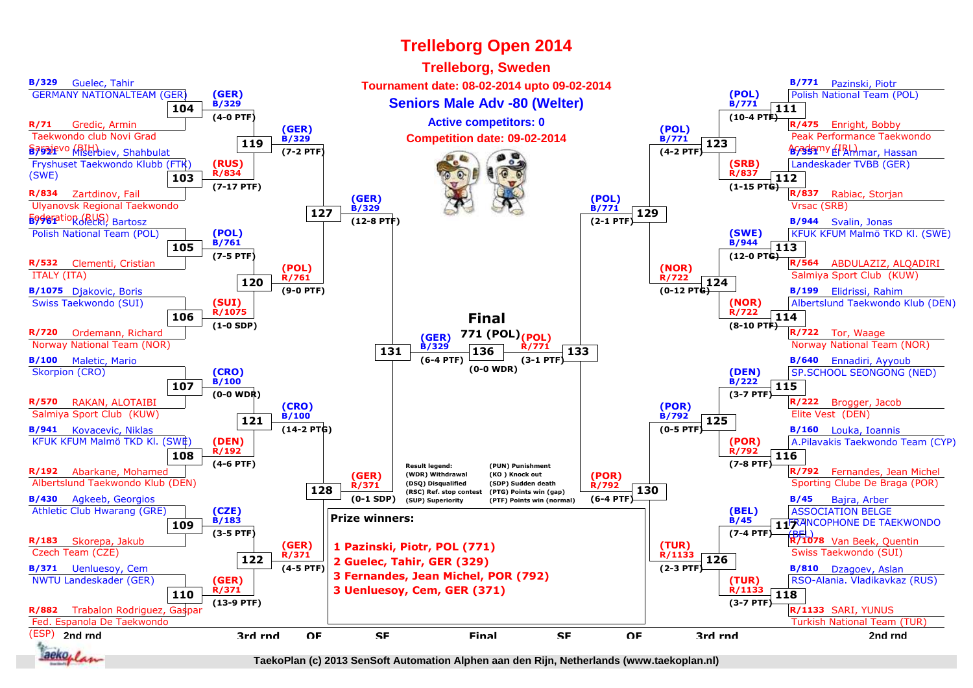![](_page_13_Figure_1.jpeg)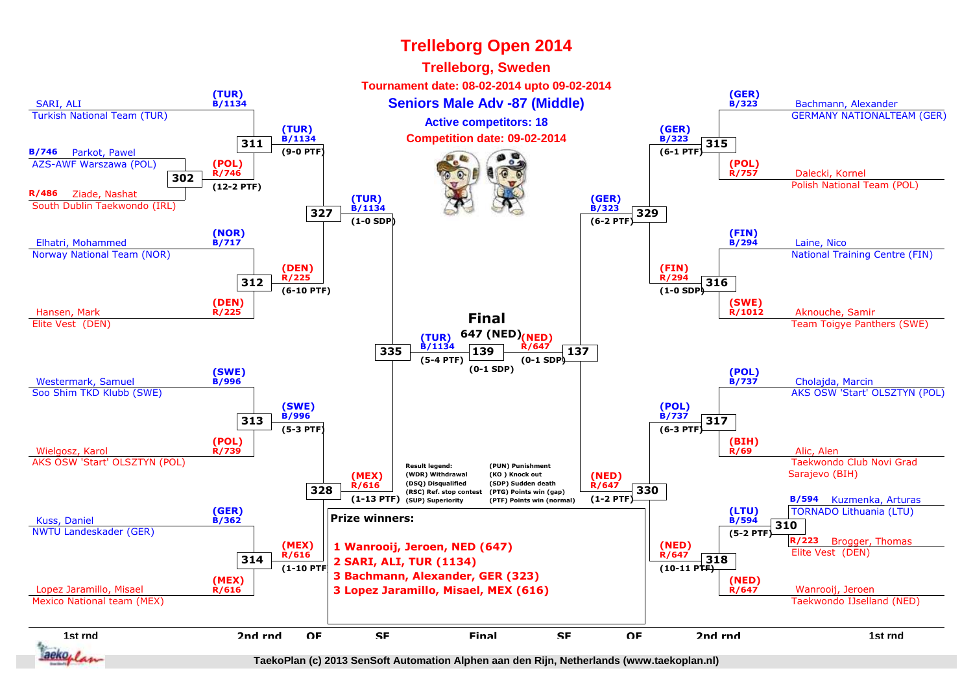![](_page_14_Figure_1.jpeg)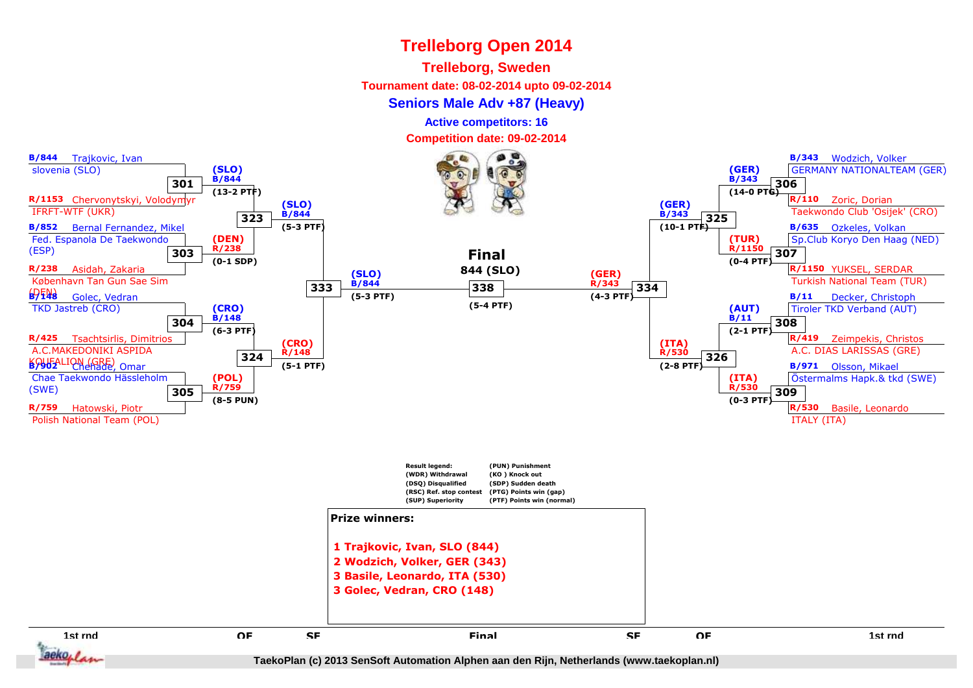#### **Trelleborg, Sweden**

**Tournament date: 08-02-2014 upto 09-02-2014**

#### **Seniors Male Adv +87 (Heavy)**

**Active competitors: 16**

**Competition date: 09-02-2014**

![](_page_15_Figure_6.jpeg)

aeko. I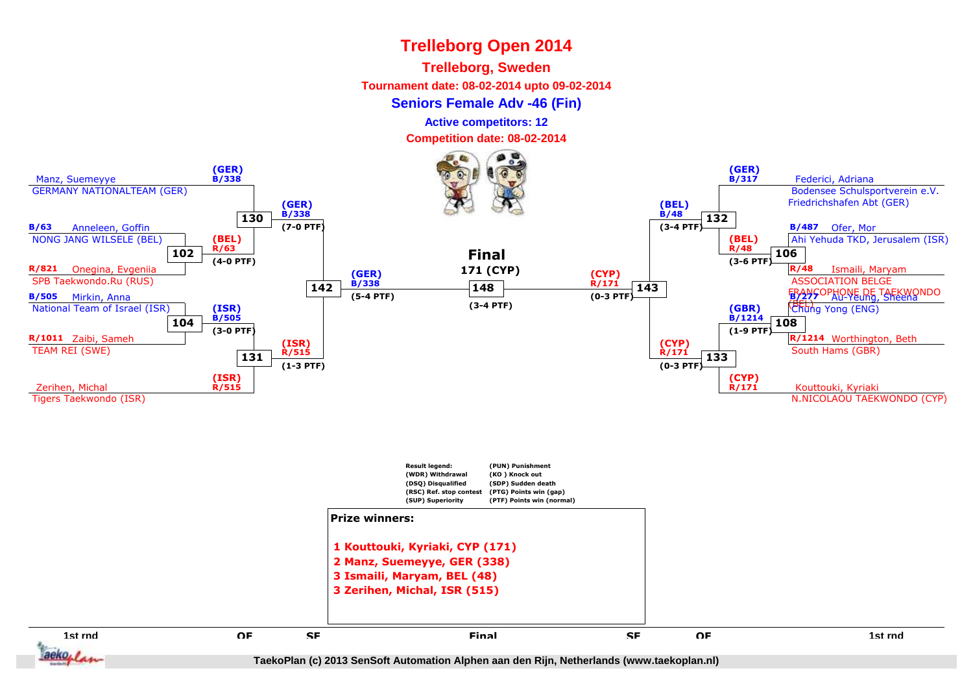#### **Trelleborg, Sweden**

**Tournament date: 08-02-2014 upto 09-02-2014**

**Seniors Female Adv -46 (Fin)**

**Active competitors: 12**

**Competition date: 08-02-2014**

![](_page_16_Figure_6.jpeg)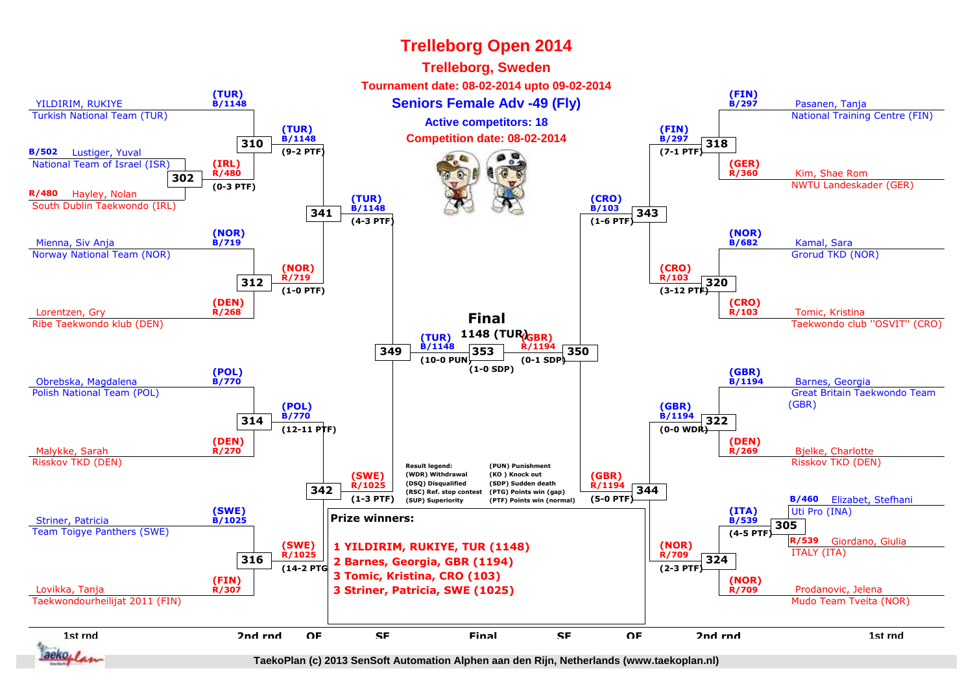![](_page_17_Figure_1.jpeg)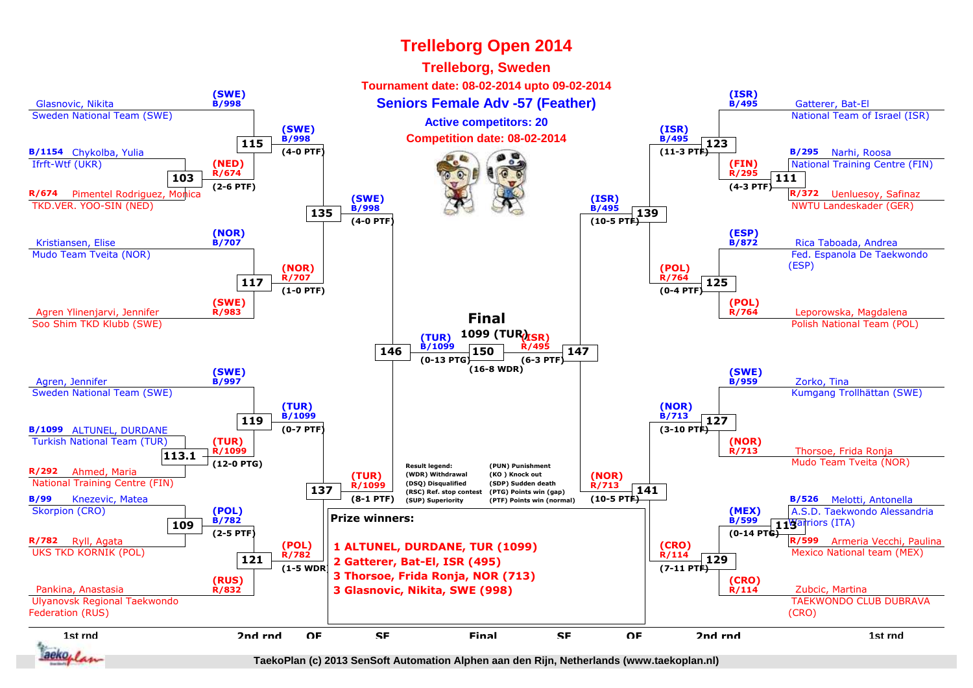![](_page_18_Figure_1.jpeg)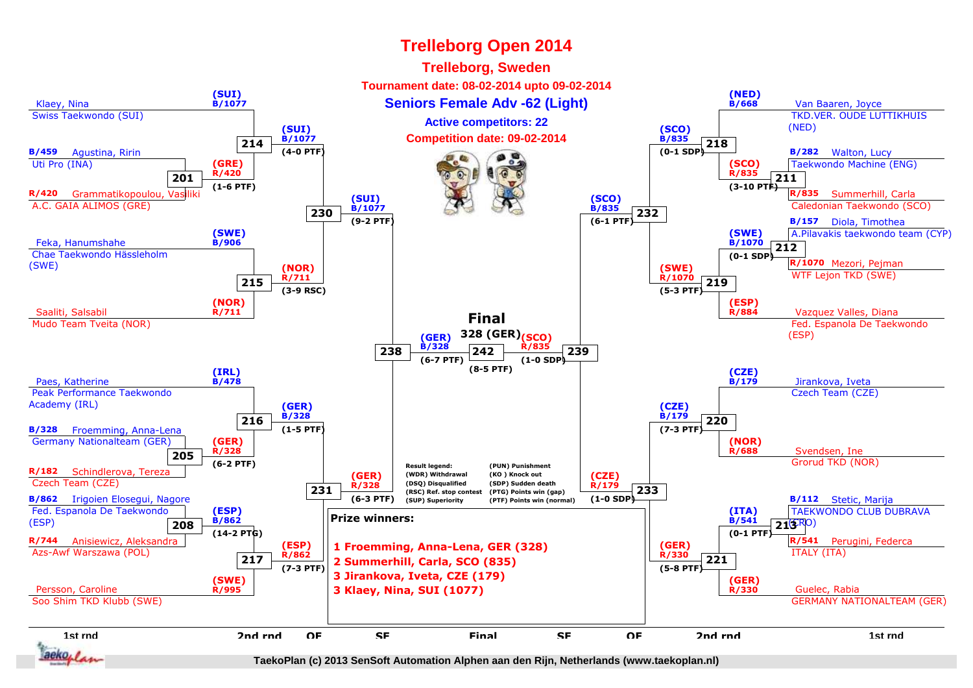![](_page_19_Figure_1.jpeg)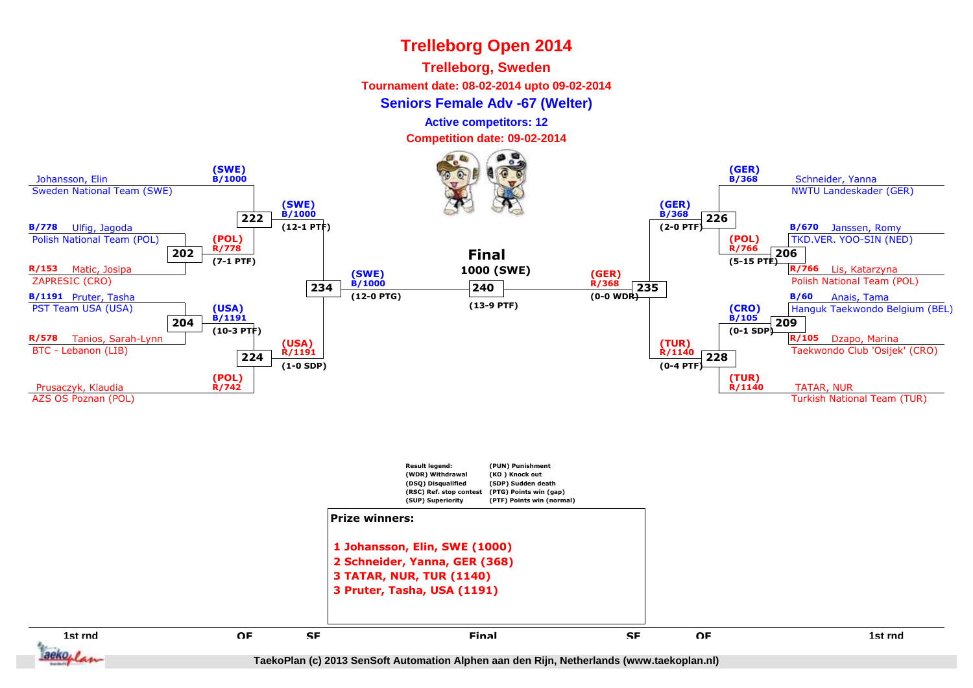#### **Trelleborg, Sweden**

**Tournament date: 08-02-2014 upto 09-02-2014**

#### **Seniors Female Adv -67 (Welter)**

**Active competitors: 12**

**Competition date: 09-02-2014**

![](_page_20_Figure_6.jpeg)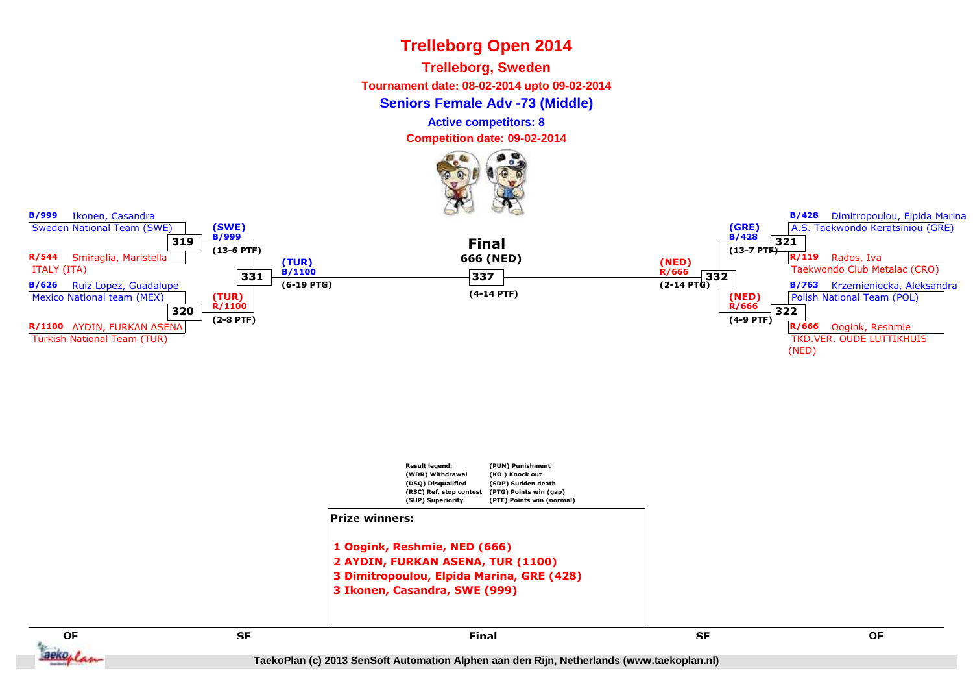**Trelleborg, Sweden**

**Tournament date: 08-02-2014 upto 09-02-2014**

**Seniors Female Adv -73 (Middle)**

**Active competitors: 8**

**Competition date: 09-02-2014**

![](_page_21_Picture_6.jpeg)

![](_page_21_Figure_7.jpeg)

![](_page_21_Figure_8.jpeg)

 **2 AYDIN, FURKAN ASENA, TUR (1100) 3 Dimitropoulou, Elpida Marina, GRE (428)3 Ikonen, Casandra, SWE (999)**

**E** SE SE SE SE SE SERVICE EN L'ALGENCIA EN L'ALGENCIA EN L'ALGENCIA EN L'ALGENCIA EN L'ALGENCIA EN L'ALGENCIA<br>En la comparación de la comparación de la comparación de la comparación de la comparación de la comparación de

**QF**

aeko, /

**B/999** Ikonen, Casandra

**B/428** Dimitropoulou, Elpida Marina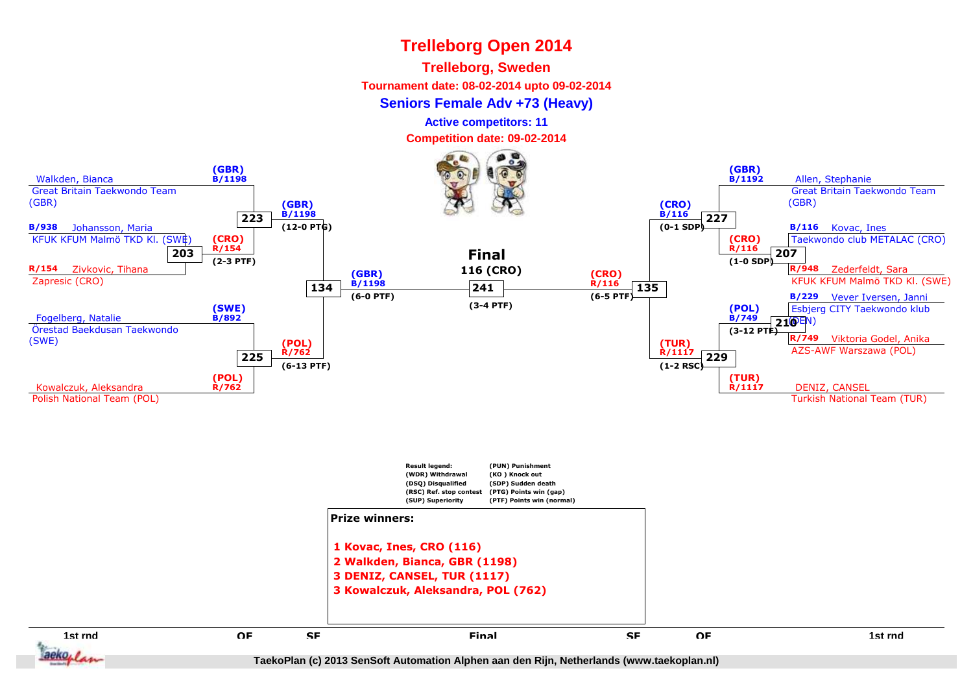#### **Trelleborg, Sweden**

**Tournament date: 08-02-2014 upto 09-02-2014**

#### **Seniors Female Adv +73 (Heavy)**

**Active competitors: 11**

**Competition date: 09-02-2014**

![](_page_22_Figure_6.jpeg)